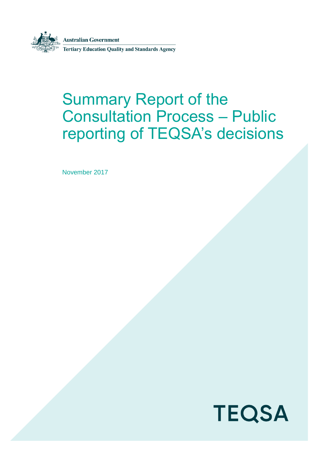

**Australian Government** 

**Tertiary Education Quality and Standards Agency** 

# Summary Report of the Consultation Process – Public reporting of TEQSA's decisions

November 2017

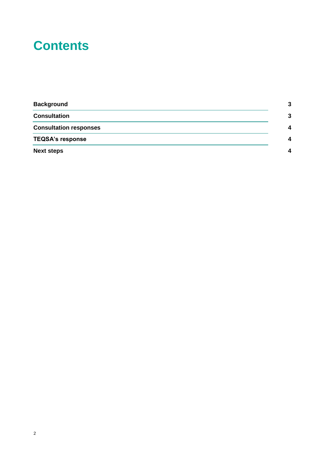# **Contents**

| <b>Background</b>             | 2 |
|-------------------------------|---|
| <b>Consultation</b>           | 3 |
| <b>Consultation responses</b> | Δ |
| <b>TEQSA's response</b>       | Δ |
| <b>Next steps</b>             | Δ |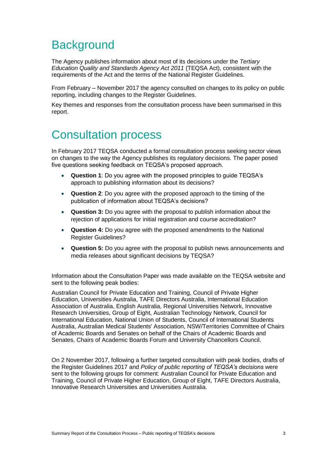### <span id="page-2-0"></span>**Background**

The Agency publishes information about most of its decisions under the *Tertiary Education Quality and Standards Agency Act 2011* (TEQSA Act), consistent with the requirements of the Act and the terms of the National Register Guidelines.

From February – November 2017 the agency consulted on changes to its policy on public reporting, including changes to the Register Guidelines.

Key themes and responses from the consultation process have been summarised in this report.

### <span id="page-2-1"></span>Consultation process

In February 2017 TEQSA conducted a formal consultation process seeking sector views on changes to the way the Agency publishes its regulatory decisions. The paper posed five questions seeking feedback on TEQSA's proposed approach.

- **Question 1**: Do you agree with the proposed principles to guide TEQSA's approach to publishing information about its decisions?
- **Question 2**: Do you agree with the proposed approach to the timing of the publication of information about TEQSA's decisions?
- **Question 3:** Do you agree with the proposal to publish information about the rejection of applications for initial registration and course accreditation?
- **Question 4:** Do you agree with the proposed amendments to the National Register Guidelines?
- **Question 5:** Do you agree with the proposal to publish news announcements and media releases about significant decisions by TEQSA?

Information about the Consultation Paper was made available on the TEQSA website and sent to the following peak bodies:

Australian Council for Private Education and Training, Council of Private Higher Education, Universities Australia, TAFE Directors Australia, International Education Association of Australia, English Australia, Regional Universities Network, Innovative Research Universities, Group of Eight, Australian Technology Network, Council for International Education, National Union of Students, Council of International Students Australia, Australian Medical Students' Association, NSW/Territories Committee of Chairs of Academic Boards and Senates on behalf of the Chairs of Academic Boards and Senates, Chairs of Academic Boards Forum and University Chancellors Council.

On 2 November 2017, following a further targeted consultation with peak bodies, drafts of the Register Guidelines 2017 and *Policy of public reporting of TEQSA's decisions* were sent to the following groups for comment: Australian Council for Private Education and Training, Council of Private Higher Education, Group of Eight, TAFE Directors Australia, Innovative Research Universities and Universities Australia.